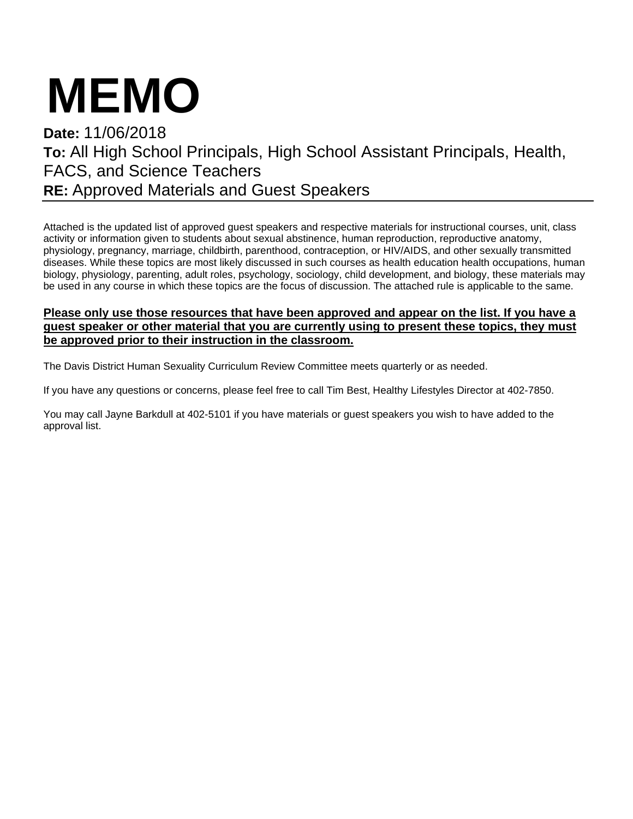# **MEMO**

## **Date:** 11/06/2018 **To:** All High School Principals, High School Assistant Principals, Health, FACS, and Science Teachers **RE:** Approved Materials and Guest Speakers

Attached is the updated list of approved guest speakers and respective materials for instructional courses, unit, class activity or information given to students about sexual abstinence, human reproduction, reproductive anatomy, physiology, pregnancy, marriage, childbirth, parenthood, contraception, or HIV/AIDS, and other sexually transmitted diseases. While these topics are most likely discussed in such courses as health education health occupations, human biology, physiology, parenting, adult roles, psychology, sociology, child development, and biology, these materials may be used in any course in which these topics are the focus of discussion. The attached rule is applicable to the same.

#### **Please only use those resources that have been approved and appear on the list. If you have a guest speaker or other material that you are currently using to present these topics, they must be approved prior to their instruction in the classroom.**

The Davis District Human Sexuality Curriculum Review Committee meets quarterly or as needed.

If you have any questions or concerns, please feel free to call Tim Best, Healthy Lifestyles Director at 402-7850.

You may call Jayne Barkdull at 402-5101 if you have materials or guest speakers you wish to have added to the approval list.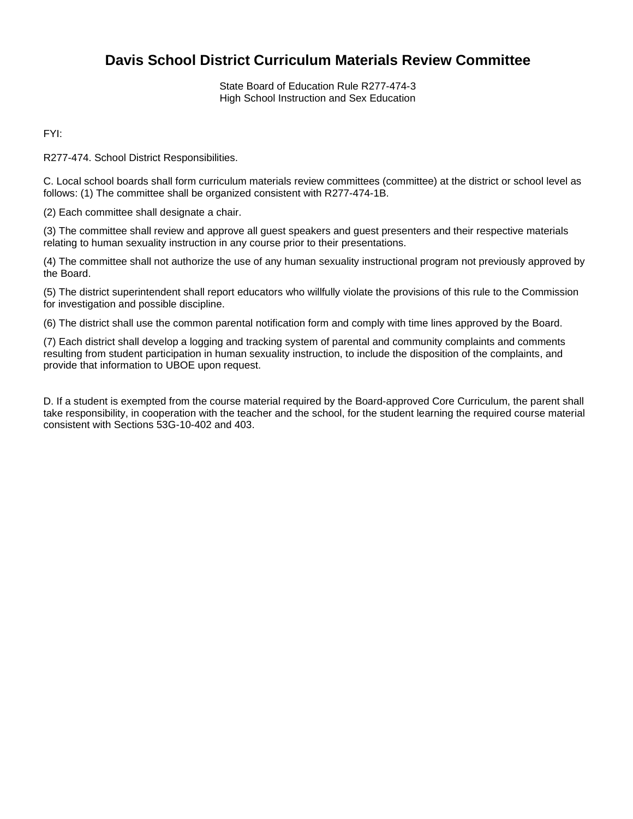### **Davis School District Curriculum Materials Review Committee**

State Board of Education Rule R277-474-3 High School Instruction and Sex Education

FYI:

R277-474. School District Responsibilities.

C. Local school boards shall form curriculum materials review committees (committee) at the district or school level as follows: (1) The committee shall be organized consistent with R277-474-1B.

(2) Each committee shall designate a chair.

(3) The committee shall review and approve all guest speakers and guest presenters and their respective materials relating to human sexuality instruction in any course prior to their presentations.

(4) The committee shall not authorize the use of any human sexuality instructional program not previously approved by the Board.

(5) The district superintendent shall report educators who willfully violate the provisions of this rule to the Commission for investigation and possible discipline.

(6) The district shall use the common parental notification form and comply with time lines approved by the Board.

(7) Each district shall develop a logging and tracking system of parental and community complaints and comments resulting from student participation in human sexuality instruction, to include the disposition of the complaints, and provide that information to UBOE upon request.

D. If a student is exempted from the course material required by the Board-approved Core Curriculum, the parent shall take responsibility, in cooperation with the teacher and the school, for the student learning the required course material consistent with Sections 53G-10-402 and 403.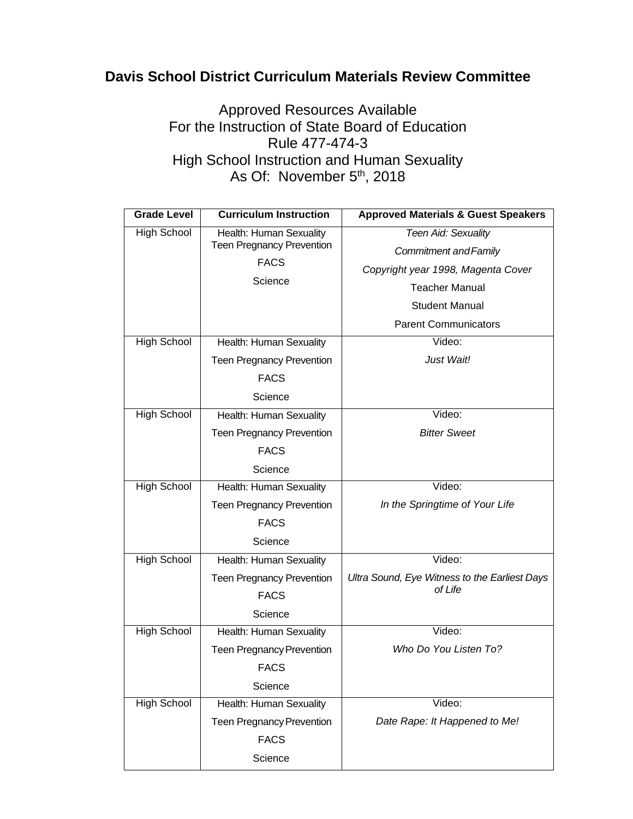## **Davis School District Curriculum Materials Review Committee**

Approved Resources Available For the Instruction of State Board of Education Rule 477-474-3 High School Instruction and Human Sexuality As Of: November 5<sup>th</sup>, 2018

| <b>Grade Level</b> | <b>Curriculum Instruction</b>                               | <b>Approved Materials &amp; Guest Speakers</b> |
|--------------------|-------------------------------------------------------------|------------------------------------------------|
| <b>High School</b> | Health: Human Sexuality<br><b>Teen Pregnancy Prevention</b> | Teen Aid: Sexuality                            |
|                    |                                                             | Commitment and Family                          |
|                    | <b>FACS</b>                                                 | Copyright year 1998, Magenta Cover             |
|                    | Science                                                     | <b>Teacher Manual</b>                          |
|                    |                                                             | <b>Student Manual</b>                          |
|                    |                                                             | <b>Parent Communicators</b>                    |
| <b>High School</b> | Health: Human Sexuality                                     | Video:                                         |
|                    | <b>Teen Pregnancy Prevention</b>                            | Just Wait!                                     |
|                    | <b>FACS</b>                                                 |                                                |
|                    | Science                                                     |                                                |
| <b>High School</b> | Health: Human Sexuality                                     | Video:                                         |
|                    | <b>Teen Pregnancy Prevention</b>                            | <b>Bitter Sweet</b>                            |
|                    | <b>FACS</b>                                                 |                                                |
|                    | Science                                                     |                                                |
| <b>High School</b> | Health: Human Sexuality                                     | Video:                                         |
|                    | <b>Teen Pregnancy Prevention</b>                            | In the Springtime of Your Life                 |
|                    | <b>FACS</b>                                                 |                                                |
|                    | Science                                                     |                                                |
| <b>High School</b> | Health: Human Sexuality                                     | Video:                                         |
|                    | <b>Teen Pregnancy Prevention</b>                            | Ultra Sound, Eye Witness to the Earliest Days  |
|                    | <b>FACS</b>                                                 | of Life                                        |
|                    | Science                                                     |                                                |
| <b>High School</b> | Health: Human Sexuality                                     | Video:                                         |
|                    | <b>Teen Pregnancy Prevention</b>                            | Who Do You Listen To?                          |
|                    | <b>FACS</b>                                                 |                                                |
|                    | Science                                                     |                                                |
| <b>High School</b> | Health: Human Sexuality                                     | Video:                                         |
|                    | <b>Teen Pregnancy Prevention</b>                            | Date Rape: It Happened to Me!                  |
|                    | <b>FACS</b>                                                 |                                                |
|                    | Science                                                     |                                                |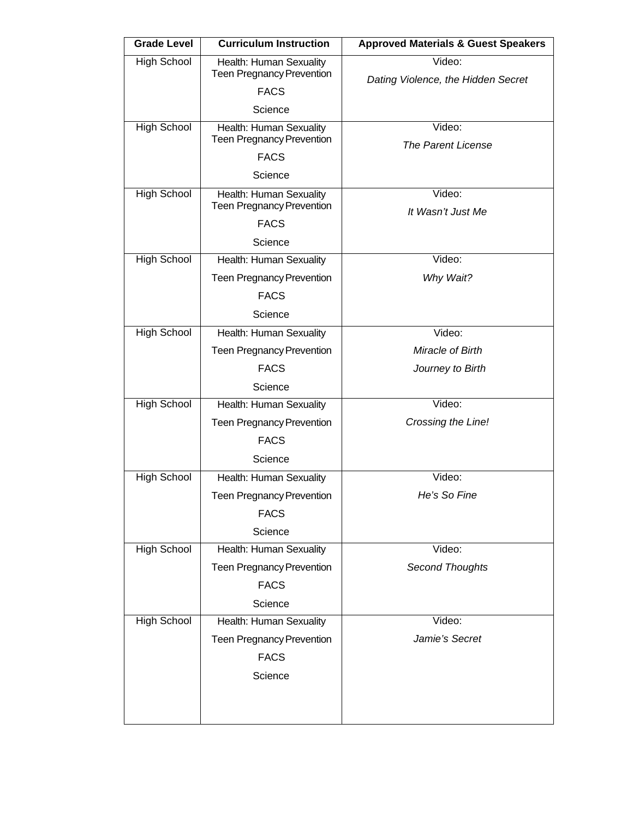| <b>Grade Level</b> | <b>Curriculum Instruction</b>                               | <b>Approved Materials &amp; Guest Speakers</b> |
|--------------------|-------------------------------------------------------------|------------------------------------------------|
| <b>High School</b> | Health: Human Sexuality                                     | Video:                                         |
|                    | <b>Teen Pregnancy Prevention</b>                            | Dating Violence, the Hidden Secret             |
|                    | <b>FACS</b>                                                 |                                                |
|                    | Science                                                     | Video:                                         |
| <b>High School</b> | Health: Human Sexuality<br><b>Teen Pregnancy Prevention</b> | <b>The Parent License</b>                      |
|                    | <b>FACS</b>                                                 |                                                |
|                    | Science                                                     |                                                |
| <b>High School</b> | Health: Human Sexuality                                     | Video:                                         |
|                    | <b>Teen Pregnancy Prevention</b><br><b>FACS</b>             | It Wasn't Just Me                              |
|                    | Science                                                     |                                                |
| <b>High School</b> | Health: Human Sexuality                                     | Video:                                         |
|                    | <b>Teen Pregnancy Prevention</b>                            | Why Wait?                                      |
|                    | <b>FACS</b>                                                 |                                                |
|                    | Science                                                     |                                                |
| <b>High School</b> | Health: Human Sexuality                                     | Video:                                         |
|                    | <b>Teen Pregnancy Prevention</b>                            | Miracle of Birth                               |
|                    | <b>FACS</b>                                                 | Journey to Birth                               |
|                    | Science                                                     |                                                |
| <b>High School</b> | Health: Human Sexuality                                     | Video:                                         |
|                    | <b>Teen Pregnancy Prevention</b>                            | Crossing the Line!                             |
|                    | <b>FACS</b>                                                 |                                                |
|                    | Science                                                     |                                                |
| <b>High School</b> | Health: Human Sexuality                                     | Video:                                         |
|                    | <b>Teen Pregnancy Prevention</b>                            | He's So Fine                                   |
|                    | <b>FACS</b>                                                 |                                                |
|                    | Science                                                     |                                                |
| <b>High School</b> | Health: Human Sexuality                                     | Video:                                         |
|                    | <b>Teen Pregnancy Prevention</b>                            | <b>Second Thoughts</b>                         |
|                    | <b>FACS</b>                                                 |                                                |
|                    | Science                                                     |                                                |
| <b>High School</b> | Health: Human Sexuality                                     | Video:                                         |
|                    | <b>Teen Pregnancy Prevention</b>                            | Jamie's Secret                                 |
|                    | <b>FACS</b>                                                 |                                                |
|                    | Science                                                     |                                                |
|                    |                                                             |                                                |
|                    |                                                             |                                                |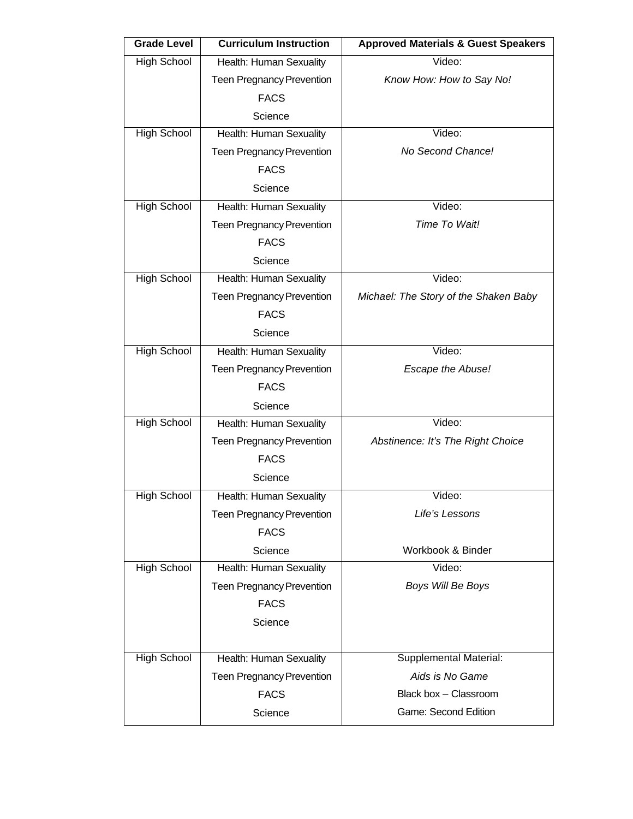| <b>Grade Level</b> | <b>Curriculum Instruction</b>    | <b>Approved Materials &amp; Guest Speakers</b> |
|--------------------|----------------------------------|------------------------------------------------|
| <b>High School</b> | Health: Human Sexuality          | Video:                                         |
|                    | <b>Teen Pregnancy Prevention</b> | Know How: How to Say No!                       |
|                    | <b>FACS</b>                      |                                                |
|                    | Science                          |                                                |
| <b>High School</b> | Health: Human Sexuality          | Video:                                         |
|                    | <b>Teen Pregnancy Prevention</b> | No Second Chance!                              |
|                    | <b>FACS</b>                      |                                                |
|                    | Science                          |                                                |
| <b>High School</b> | Health: Human Sexuality          | Video:                                         |
|                    | <b>Teen Pregnancy Prevention</b> | Time To Wait!                                  |
|                    | <b>FACS</b>                      |                                                |
|                    | Science                          |                                                |
| <b>High School</b> | Health: Human Sexuality          | Video:                                         |
|                    | <b>Teen Pregnancy Prevention</b> | Michael: The Story of the Shaken Baby          |
|                    | <b>FACS</b>                      |                                                |
|                    | Science                          |                                                |
| <b>High School</b> | Health: Human Sexuality          | Video:                                         |
|                    | <b>Teen Pregnancy Prevention</b> | Escape the Abuse!                              |
|                    | <b>FACS</b>                      |                                                |
|                    | Science                          |                                                |
| <b>High School</b> | Health: Human Sexuality          | Video:                                         |
|                    | <b>Teen Pregnancy Prevention</b> | Abstinence: It's The Right Choice              |
|                    | <b>FACS</b>                      |                                                |
|                    | Science                          |                                                |
| High School        | Health: Human Sexuality          | Video:                                         |
|                    | <b>Teen Pregnancy Prevention</b> | Life's Lessons                                 |
|                    | <b>FACS</b>                      |                                                |
|                    | Science                          | Workbook & Binder                              |
| <b>High School</b> | Health: Human Sexuality          | Video:                                         |
|                    | <b>Teen Pregnancy Prevention</b> | Boys Will Be Boys                              |
|                    | <b>FACS</b>                      |                                                |
|                    | Science                          |                                                |
|                    |                                  |                                                |
| <b>High School</b> | Health: Human Sexuality          | Supplemental Material:                         |
|                    | <b>Teen Pregnancy Prevention</b> | Aids is No Game                                |
|                    | <b>FACS</b>                      | Black box - Classroom                          |
|                    | Science                          | Game: Second Edition                           |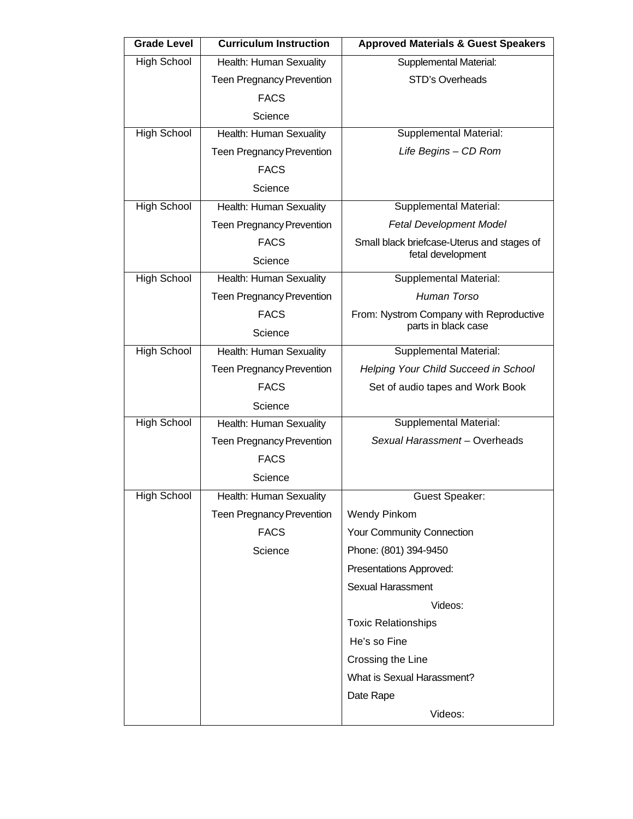| <b>Grade Level</b> | <b>Curriculum Instruction</b>    | <b>Approved Materials &amp; Guest Speakers</b> |
|--------------------|----------------------------------|------------------------------------------------|
| <b>High School</b> | Health: Human Sexuality          | Supplemental Material:                         |
|                    | <b>Teen Pregnancy Prevention</b> | <b>STD's Overheads</b>                         |
|                    | <b>FACS</b>                      |                                                |
|                    | Science                          |                                                |
| <b>High School</b> | Health: Human Sexuality          | Supplemental Material:                         |
|                    | <b>Teen Pregnancy Prevention</b> | Life Begins - CD Rom                           |
|                    | <b>FACS</b>                      |                                                |
|                    | Science                          |                                                |
| <b>High School</b> | Health: Human Sexuality          | Supplemental Material:                         |
|                    | <b>Teen Pregnancy Prevention</b> | <b>Fetal Development Model</b>                 |
|                    | <b>FACS</b>                      | Small black briefcase-Uterus and stages of     |
|                    | Science                          | fetal development                              |
| <b>High School</b> | Health: Human Sexuality          | Supplemental Material:                         |
|                    | <b>Teen Pregnancy Prevention</b> | Human Torso                                    |
|                    | <b>FACS</b>                      | From: Nystrom Company with Reproductive        |
|                    | Science                          | parts in black case                            |
| <b>High School</b> | Health: Human Sexuality          | <b>Supplemental Material:</b>                  |
|                    | <b>Teen Pregnancy Prevention</b> | Helping Your Child Succeed in School           |
|                    | <b>FACS</b>                      | Set of audio tapes and Work Book               |
|                    | Science                          |                                                |
| <b>High School</b> | Health: Human Sexuality          | <b>Supplemental Material:</b>                  |
|                    | <b>Teen Pregnancy Prevention</b> | Sexual Harassment - Overheads                  |
|                    | <b>FACS</b>                      |                                                |
|                    | Science                          |                                                |
| High School        | Health: Human Sexuality          | <b>Guest Speaker:</b>                          |
|                    | <b>Teen Pregnancy Prevention</b> | <b>Wendy Pinkom</b>                            |
|                    | <b>FACS</b>                      | Your Community Connection                      |
|                    | Science                          | Phone: (801) 394-9450                          |
|                    |                                  | Presentations Approved:                        |
|                    |                                  | <b>Sexual Harassment</b>                       |
|                    |                                  | Videos:                                        |
|                    |                                  | <b>Toxic Relationships</b>                     |
|                    |                                  | He's so Fine                                   |
|                    |                                  | Crossing the Line                              |
|                    |                                  | What is Sexual Harassment?                     |
|                    |                                  | Date Rape                                      |
|                    |                                  | Videos:                                        |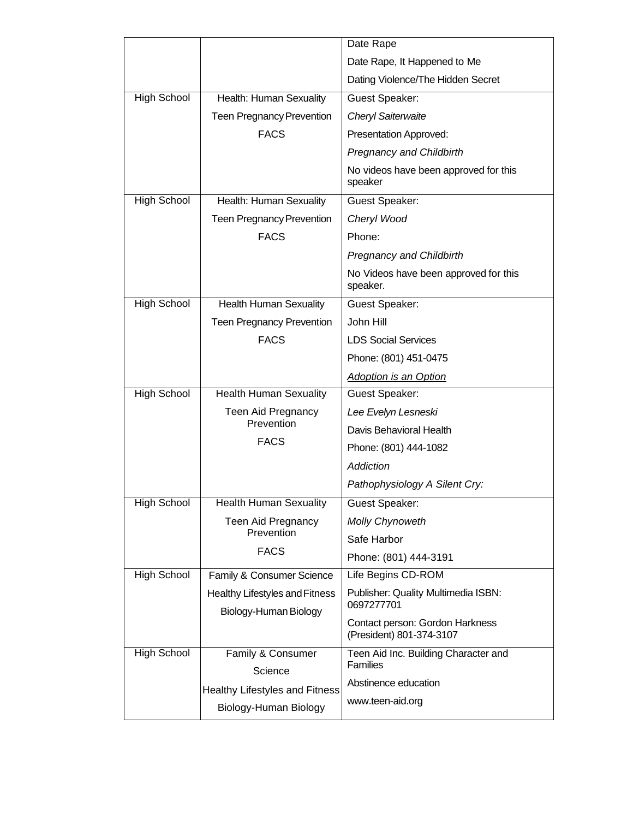|                    |                                                         | Date Rape                                                   |
|--------------------|---------------------------------------------------------|-------------------------------------------------------------|
|                    |                                                         | Date Rape, It Happened to Me                                |
|                    |                                                         | Dating Violence/The Hidden Secret                           |
| <b>High School</b> | Health: Human Sexuality                                 | <b>Guest Speaker:</b>                                       |
|                    | <b>Teen Pregnancy Prevention</b>                        | <b>Cheryl Saiterwaite</b>                                   |
|                    | <b>FACS</b>                                             | Presentation Approved:                                      |
|                    |                                                         | <b>Pregnancy and Childbirth</b>                             |
|                    |                                                         | No videos have been approved for this<br>speaker            |
| <b>High School</b> | Health: Human Sexuality                                 | <b>Guest Speaker:</b>                                       |
|                    | <b>Teen Pregnancy Prevention</b>                        | Cheryl Wood                                                 |
|                    | <b>FACS</b>                                             | Phone:                                                      |
|                    |                                                         | <b>Pregnancy and Childbirth</b>                             |
|                    |                                                         | No Videos have been approved for this<br>speaker.           |
| <b>High School</b> | <b>Health Human Sexuality</b>                           | <b>Guest Speaker:</b>                                       |
|                    | <b>Teen Pregnancy Prevention</b>                        | John Hill                                                   |
|                    | <b>FACS</b>                                             | <b>LDS Social Services</b>                                  |
|                    |                                                         | Phone: (801) 451-0475                                       |
|                    |                                                         | <b>Adoption is an Option</b>                                |
| <b>High School</b> | <b>Health Human Sexuality</b>                           | Guest Speaker:                                              |
|                    | Teen Aid Pregnancy                                      | Lee Evelyn Lesneski                                         |
|                    | Prevention                                              | Davis Behavioral Health                                     |
|                    | <b>FACS</b>                                             | Phone: (801) 444-1082                                       |
|                    |                                                         | Addiction                                                   |
|                    |                                                         | Pathophysiology A Silent Cry:                               |
| High School        | <b>Health Human Sexuality</b>                           | <b>Guest Speaker:</b>                                       |
|                    | Teen Aid Pregnancy                                      | <b>Molly Chynoweth</b>                                      |
|                    | Prevention                                              | Safe Harbor                                                 |
|                    | <b>FACS</b>                                             | Phone: (801) 444-3191                                       |
| High School        | Family & Consumer Science                               | Life Begins CD-ROM                                          |
|                    | Healthy Lifestyles and Fitness<br>Biology-Human Biology | Publisher: Quality Multimedia ISBN:<br>0697277701           |
|                    |                                                         | Contact person: Gordon Harkness<br>(President) 801-374-3107 |
| High School        | Family & Consumer                                       | Teen Aid Inc. Building Character and                        |
|                    | Science                                                 | <b>Families</b>                                             |
|                    | Healthy Lifestyles and Fitness                          | Abstinence education                                        |
|                    | Biology-Human Biology                                   | www.teen-aid.org                                            |